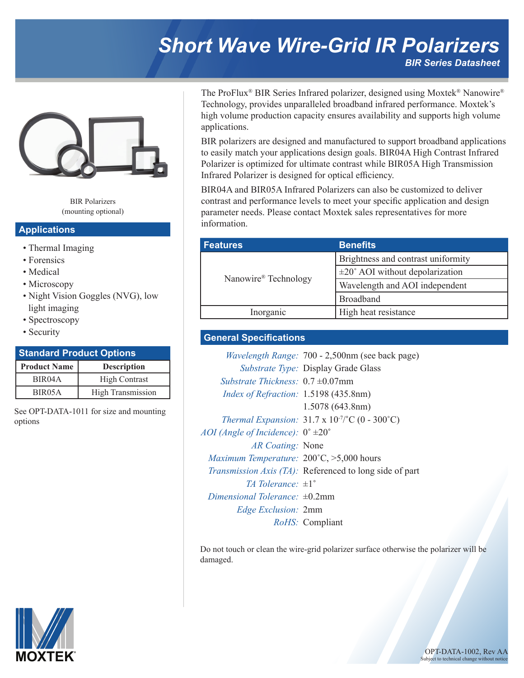# *Short Wave Wire-Grid IR Polarizers BIR Series Datasheet*



BIR Polarizers (mounting optional)

#### **Applications**

- Thermal Imaging
- Forensics
- Medical
- Microscopy
- Night Vision Goggles (NVG), low light imaging
- Spectroscopy
- Security

## **Product Name Description Standard Product Options**

| BIR <sub>04</sub> A | <b>High Contrast</b>     |
|---------------------|--------------------------|
| BIR <sub>05</sub> A | <b>High Transmission</b> |
|                     |                          |

See OPT-DATA-1011 for size and mounting options

The ProFlux® BIR Series Infrared polarizer, designed using Moxtek® Nanowire® Technology, provides unparalleled broadband infrared performance. Moxtek's high volume production capacity ensures availability and supports high volume applications.

BIR polarizers are designed and manufactured to support broadband applications to easily match your applications design goals. BIR04A High Contrast Infrared Polarizer is optimized for ultimate contrast while BIR05A High Transmission Infrared Polarizer is designed for optical efficiency.

BIR04A and BIR05A Infrared Polarizers can also be customized to deliver contrast and performance levels to meet your specific application and design parameter needs. Please contact Moxtek sales representatives for more information.

| <b>Features</b>      | <b>Benefits</b>                             |  |  |  |  |
|----------------------|---------------------------------------------|--|--|--|--|
| Nanowire® Technology | Brightness and contrast uniformity          |  |  |  |  |
|                      | $\pm 20^{\circ}$ AOI without depolarization |  |  |  |  |
|                      | Wavelength and AOI independent              |  |  |  |  |
|                      | <b>Broadband</b>                            |  |  |  |  |
| Inorganic            | High heat resistance                        |  |  |  |  |

### **General Specifications**

|                                                             | <i>Wavelength Range: 700 - 2,500nm (see back page)</i>          |
|-------------------------------------------------------------|-----------------------------------------------------------------|
|                                                             | <i>Substrate Type:</i> Display Grade Glass                      |
| <i>Substrate Thickness</i> : $0.7 \pm 0.07$ mm              |                                                                 |
| <i>Index of Refraction:</i> 1.5198 (435.8nm)                |                                                                 |
|                                                             | 1.5078 (643.8nm)                                                |
|                                                             | Thermal Expansion: $31.7 \times 10^{-7}$ °C (0 - 300°C)         |
| AOI (Angle of Incidence): $0^{\circ}$ $\pm 20^{\circ}$      |                                                                 |
| <i>AR Coating:</i> None                                     |                                                                 |
| <i>Maximum Temperature:</i> $200^{\circ}$ C, $>5,000$ hours |                                                                 |
|                                                             | <i>Transmission Axis (TA)</i> : Referenced to long side of part |
| <i>TA Tolerance</i> : $\pm 1^{\circ}$                       |                                                                 |
| Dimensional Tolerance: $\pm 0.2$ mm                         |                                                                 |
| <i>Edge Exclusion:</i> 2mm                                  |                                                                 |
|                                                             | <i>RoHS:</i> Compliant                                          |

Do not touch or clean the wire-grid polarizer surface otherwise the polarizer will be damaged.



**MOXTEK**® **OPT-DATA-1002**, Rev AA Subject to technical change without not